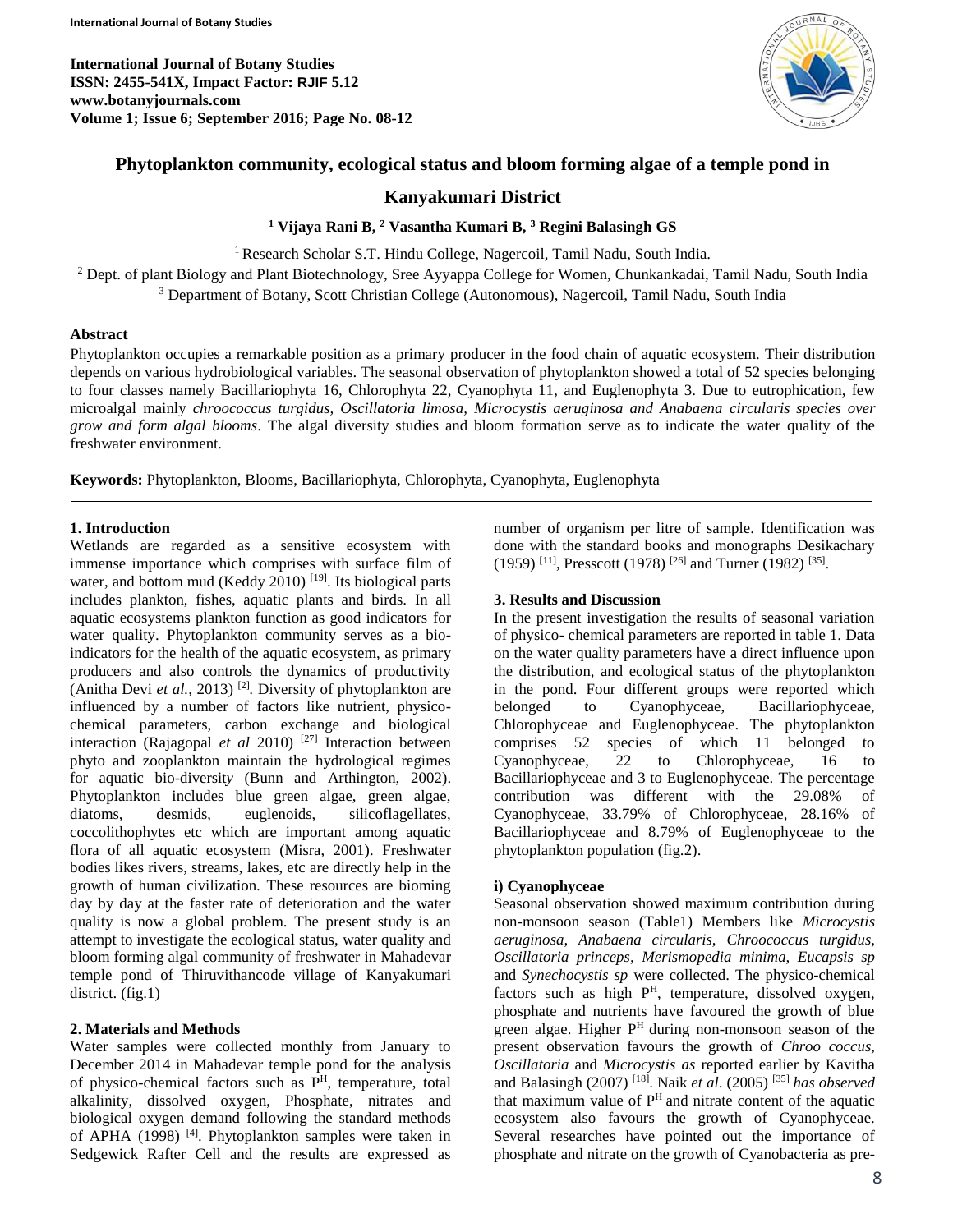

# **Phytoplankton community, ecological status and bloom forming algae of a temple pond in**

# **Kanyakumari District**

**<sup>1</sup> Vijaya Rani B, <sup>2</sup> Vasantha Kumari B, <sup>3</sup> Regini Balasingh GS**

<sup>1</sup> Research Scholar S.T. Hindu College, Nagercoil, Tamil Nadu, South India.

<sup>2</sup> Dept. of plant Biology and Plant Biotechnology, Sree Ayyappa College for Women, Chunkankadai, Tamil Nadu, South India <sup>3</sup> Department of Botany, Scott Christian College (Autonomous), Nagercoil, Tamil Nadu, South India

### **Abstract**

Phytoplankton occupies a remarkable position as a primary producer in the food chain of aquatic ecosystem. Their distribution depends on various hydrobiological variables. The seasonal observation of phytoplankton showed a total of 52 species belonging to four classes namely Bacillariophyta 16, Chlorophyta 22, Cyanophyta 11, and Euglenophyta 3. Due to eutrophication, few microalgal mainly *chroococcus turgidus, Oscillatoria limosa, Microcystis aeruginosa and Anabaena circularis species over grow and form algal blooms*. The algal diversity studies and bloom formation serve as to indicate the water quality of the freshwater environment.

**Keywords:** Phytoplankton, Blooms, Bacillariophyta, Chlorophyta, Cyanophyta, Euglenophyta

# **1. Introduction**

Wetlands are regarded as a sensitive ecosystem with immense importance which comprises with surface film of water, and bottom mud (Keddy 2010)<sup>[19]</sup>. Its biological parts includes plankton, fishes, aquatic plants and birds. In all aquatic ecosystems plankton function as good indicators for water quality. Phytoplankton community serves as a bioindicators for the health of the aquatic ecosystem, as primary producers and also controls the dynamics of productivity (Anitha Devi *et al.,* 2013) [2] *.* Diversity of phytoplankton are influenced by a number of factors like nutrient, physicochemical parameters, carbon exchange and biological interaction (Rajagopal *et al* 2010) [27] Interaction between phyto and zooplankton maintain the hydrological regimes for aquatic bio-diversit*y* (Bunn and Arthington, 2002). Phytoplankton includes blue green algae, green algae, diatoms, desmids, euglenoids, silicoflagellates, coccolithophytes etc which are important among aquatic flora of all aquatic ecosystem (Misra, 2001). Freshwater bodies likes rivers, streams, lakes, etc are directly help in the growth of human civilization. These resources are bioming day by day at the faster rate of deterioration and the water quality is now a global problem. The present study is an attempt to investigate the ecological status, water quality and bloom forming algal community of freshwater in Mahadevar temple pond of Thiruvithancode village of Kanyakumari district. (fig.1)

#### **2. Materials and Methods**

Water samples were collected monthly from January to December 2014 in Mahadevar temple pond for the analysis of physico-chemical factors such as  $P<sup>H</sup>$ , temperature, total alkalinity, dissolved oxygen, Phosphate, nitrates and biological oxygen demand following the standard methods of APHA (1998)<sup>[4]</sup>. Phytoplankton samples were taken in Sedgewick Rafter Cell and the results are expressed as

number of organism per litre of sample. Identification was done with the standard books and monographs Desikachary  $(1959)$  [11], Presscott (1978) [26] and Turner (1982) [35].

# **3. Results and Discussion**

In the present investigation the results of seasonal variation of physico- chemical parameters are reported in table 1. Data on the water quality parameters have a direct influence upon the distribution, and ecological status of the phytoplankton in the pond. Four different groups were reported which belonged to Cyanophyceae, Bacillariophyceae, Chlorophyceae and Euglenophyceae. The phytoplankton comprises 52 species of which 11 belonged to Cyanophyceae, 22 to Chlorophyceae, 16 to Bacillariophyceae and 3 to Euglenophyceae. The percentage contribution was different with the 29.08% of Cyanophyceae, 33.79% of Chlorophyceae, 28.16% of Bacillariophyceae and 8.79% of Euglenophyceae to the phytoplankton population (fig.2).

#### **i) Cyanophyceae**

Seasonal observation showed maximum contribution during non-monsoon season (Table1) Members like *Microcystis aeruginosa, Anabaena circularis, Chroococcus turgidus, Oscillatoria princeps, Merismopedia minima, Eucapsis sp*  and *Synechocystis sp* were collected. The physico-chemical factors such as high P<sup>H</sup>, temperature, dissolved oxygen, phosphate and nutrients have favoured the growth of blue green algae. Higher  $P<sup>H</sup>$  during non-monsoon season of the present observation favours the growth of *Chroo coccus, Oscillatoria* and *Microcystis as* reported earlier by Kavitha and Balasingh (2007) [18]. Naik *et al*. (2005) [35] *has observed* that maximum value of  $P<sup>H</sup>$  and nitrate content of the aquatic ecosystem also favours the growth of Cyanophyceae. Several researches have pointed out the importance of phosphate and nitrate on the growth of Cyanobacteria as pre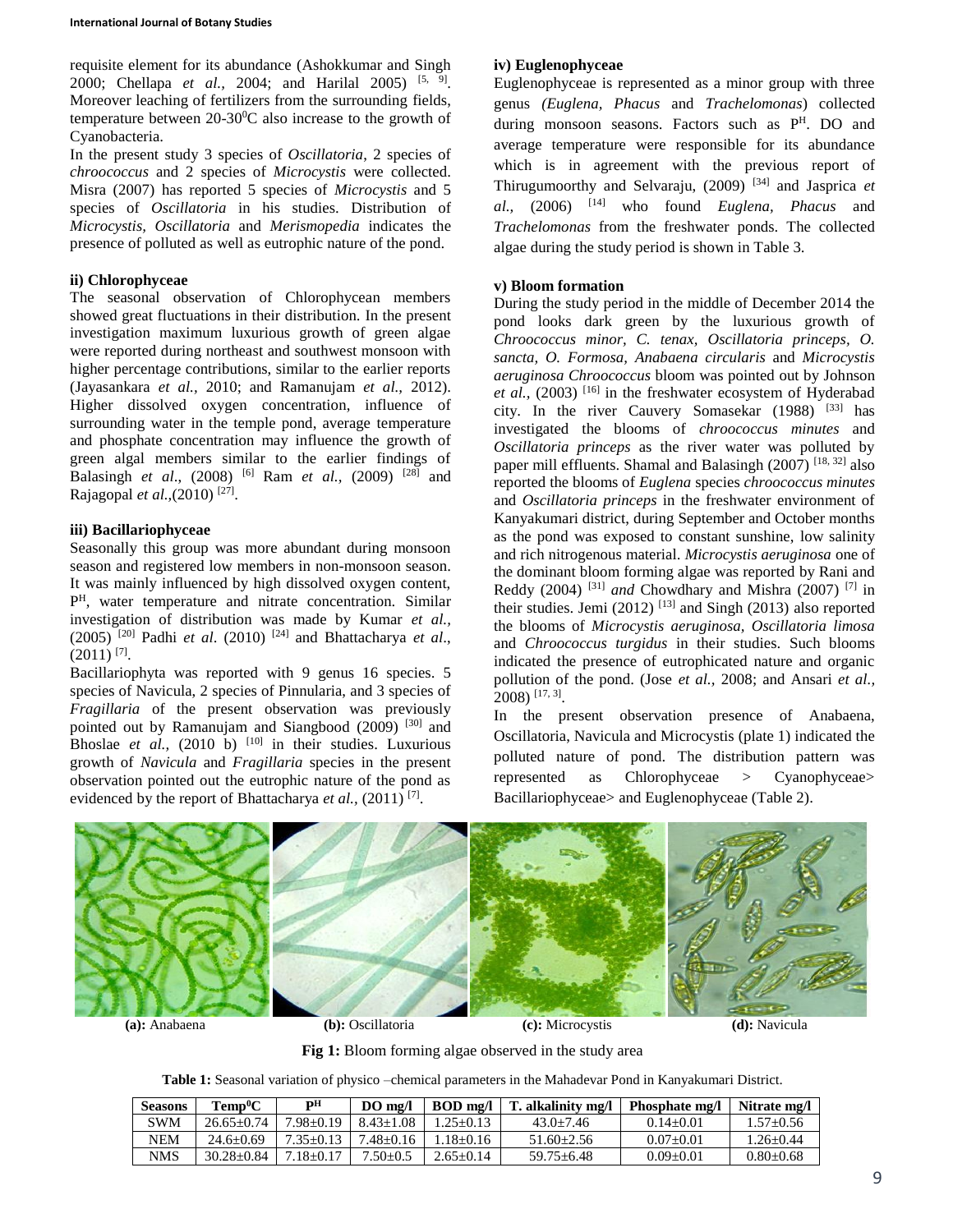requisite element for its abundance (Ashokkumar and Singh 2000; Chellapa *et al.*, 2004; and Harilal 2005) <sup>[5, 9]</sup>. Moreover leaching of fertilizers from the surrounding fields, temperature between  $20-30$ <sup>o</sup>C also increase to the growth of Cyanobacteria.

In the present study 3 species of *Oscillatoria*, 2 species of *chroococcus* and 2 species of *Microcystis* were collected. Misra (2007) has reported 5 species of *Microcystis* and 5 species of *Oscillatoria* in his studies. Distribution of *Microcystis, Oscillatoria* and *Merismopedia* indicates the presence of polluted as well as eutrophic nature of the pond.

#### **ii) Chlorophyceae**

The seasonal observation of Chlorophycean members showed great fluctuations in their distribution. In the present investigation maximum luxurious growth of green algae were reported during northeast and southwest monsoon with higher percentage contributions, similar to the earlier reports (Jayasankara *et al.,* 2010; and Ramanujam *et al.,* 2012). Higher dissolved oxygen concentration, influence of surrounding water in the temple pond, average temperature and phosphate concentration may influence the growth of green algal members similar to the earlier findings of Balasingh *et al*., (2008) [6] Ram *et al.,* (2009) [28] and Rajagopal et al., (2010)<sup>[27]</sup>.

# **iii) Bacillariophyceae**

Seasonally this group was more abundant during monsoon season and registered low members in non-monsoon season. It was mainly influenced by high dissolved oxygen content, P <sup>H</sup>, water temperature and nitrate concentration. Similar investigation of distribution was made by Kumar *et al.,* (2005) [20] Padhi *et al*. (2010) [24] and Bhattacharya *et al*.,  $(2011)$ <sup>[7]</sup>.

Bacillariophyta was reported with 9 genus 16 species. 5 species of Navicula, 2 species of Pinnularia, and 3 species of *Fragillaria* of the present observation was previously pointed out by Ramanujam and Siangbood (2009)<sup>[30]</sup> and Bhoslae *et al.*,  $(2010 \text{ b})$ <sup>[10]</sup> in their studies. Luxurious growth of *Navicula* and *Fragillaria* species in the present observation pointed out the eutrophic nature of the pond as evidenced by the report of Bhattacharya et al., (2011)<sup>[7]</sup>.

# **iv) Euglenophyceae**

Euglenophyceae is represented as a minor group with three genus *(Euglena, Phacus* and *Trachelomonas*) collected during monsoon seasons. Factors such as P<sup>H</sup>. DO and average temperature were responsible for its abundance which is in agreement with the previous report of Thirugumoorthy and Selvaraju, (2009) [34] and Jasprica *et al.,* (2006) [14] who found *Euglena, Phacus* and *Trachelomonas* from the freshwater ponds. The collected algae during the study period is shown in Table 3.

# **v) Bloom formation**

During the study period in the middle of December 2014 the pond looks dark green by the luxurious growth of *Chroococcus minor, C. tenax, Oscillatoria princeps, O. sancta, O. Formosa, Anabaena circularis* and *Microcystis aeruginosa Chroococcus* bloom was pointed out by Johnson et al., (2003)<sup>[16]</sup> in the freshwater ecosystem of Hyderabad city. In the river Cauvery Somasekar (1988) [33] has investigated the blooms of *chroococcus minutes* and *Oscillatoria princeps* as the river water was polluted by paper mill effluents. Shamal and Balasingh  $(2007)^{[18, 32]}$  also reported the blooms of *Euglena* species *chroococcus minutes* and *Oscillatoria princeps* in the freshwater environment of Kanyakumari district, during September and October months as the pond was exposed to constant sunshine, low salinity and rich nitrogenous material. *Microcystis aeruginosa* one of the dominant bloom forming algae was reported by Rani and Reddy (2004) [31] *and* Chowdhary and Mishra (2007) [7] in their studies. Jemi  $(2012)$ <sup>[13]</sup> and Singh  $(2013)$  also reported the blooms of *Microcystis aeruginosa, Oscillatoria limosa*  and *Chroococcus turgidus* in their studies. Such blooms indicated the presence of eutrophicated nature and organic pollution of the pond. (Jose *et al.,* 2008; and Ansari *et al.,* 2008) [17, 3] .

In the present observation presence of Anabaena, Oscillatoria, Navicula and Microcystis (plate 1) indicated the polluted nature of pond. The distribution pattern was represented as Chlorophyceae > Cyanophyceae> Bacillariophyceae> and Euglenophyceae (Table 2).



**(a):** Anabaena **(b):** Oscillatoria **(c):** Microcystis **(d):** Navicula

**Fig 1:** Bloom forming algae observed in the study area

| Table 1: Seasonal variation of physico - chemical parameters in the Mahadevar Pond in Kanyakumari District. |  |
|-------------------------------------------------------------------------------------------------------------|--|
|-------------------------------------------------------------------------------------------------------------|--|

| <b>Seasons</b> | $\mathbf{Temn^0C}$ | pН          | $DO$ mg/l     | $BOD$ mg/l   | T. alkalinity mg/l | <b>Phosphate mg/l</b> | Nitrate mg/l    |
|----------------|--------------------|-------------|---------------|--------------|--------------------|-----------------------|-----------------|
| SWM            | $26.65 + 0.74$     | 7.98+0.19   | $8.43 + 1.08$ | $.25+0.13$   | $43.0 + 7.46$      | $0.14 + 0.01$         | 1.57±0.56       |
| NEM            | $24.6 + 0.69$      | $7.35+0.13$ | $-48+0.16$    | $.18 + 0.16$ | $51.60 + 2.56$     | $0.07+0.01$           | $1.26 + 0.44$   |
| <b>NMS</b>     | $30.28 + 0.84$     | .18+0.17    | $.50+0.5$     | 2.65±0.14    | $59.75 \pm 6.48$   | $0.09 \pm 0.01$       | $0.80 \pm 0.68$ |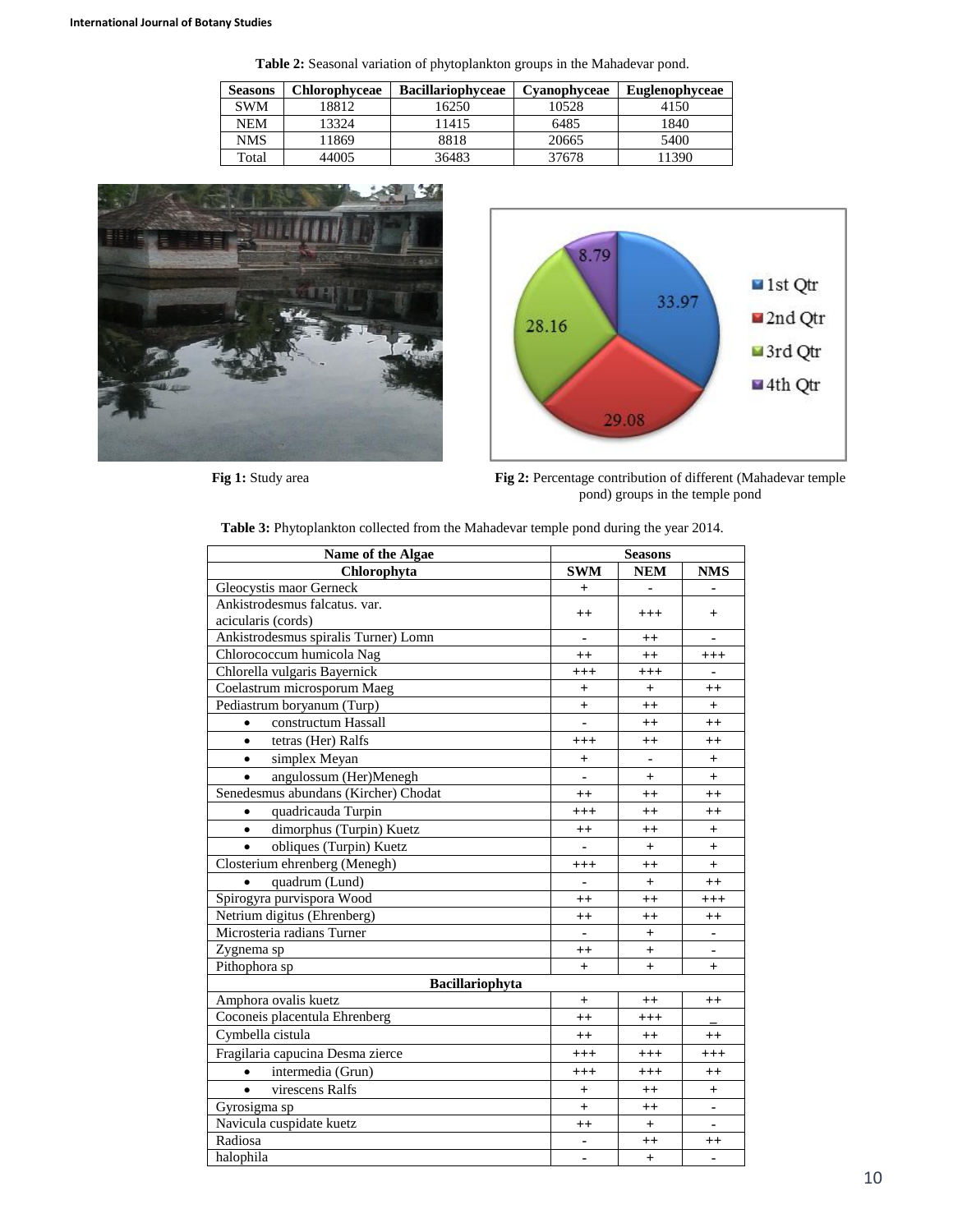**Table 2:** Seasonal variation of phytoplankton groups in the Mahadevar pond.

| <b>Seasons</b> | <b>Chlorophyceae</b> | <b>Bacillariophyceae</b> | Cvanophyceae | <b>Euglenophyceae</b> |
|----------------|----------------------|--------------------------|--------------|-----------------------|
| <b>SWM</b>     | 18812                | 16250                    | 10528        | 4150                  |
| NEM            | 13324                | 11415                    | 6485         | 1840                  |
| NMS            | 11869                | 8818                     | 20665        | 5400                  |
| Total          | 44005                | 36483                    | 37678        | 1390                  |





**Fig 1:** Study area **Fig 2:** Percentage contribution of different (Mahadevar temple pond) groups in the temple pond

| Name of the Algae                     | <b>Seasons</b> |                  |                  |
|---------------------------------------|----------------|------------------|------------------|
| Chlorophyta                           | <b>SWM</b>     | <b>NEM</b>       | <b>NMS</b>       |
| Gleocystis maor Gerneck               | $\ddot{}$      | ۰                |                  |
| Ankistrodesmus falcatus. var.         |                |                  |                  |
| acicularis (cords)                    | $^{++}$        | $+++$            | $+$              |
| Ankistrodesmus spiralis Turner) Lomn  | ٠              | $^{++}$          | $\blacksquare$   |
| Chlorococcum humicola Nag             | $++$           | $++$             | $+++$            |
| Chlorella vulgaris Bayernick          | $+++$          | $^{+++}$         | ٠                |
| Coelastrum microsporum Maeg           | $\ddot{}$      | $\ddot{}$        | $^{++}$          |
| Pediastrum boryanum (Turp)            | $\ddot{}$      | $^{++}$          | $+$              |
| constructum Hassall<br>$\bullet$      | $\blacksquare$ | $^{++}$          | $^{++}$          |
| tetras (Her) Ralfs<br>$\bullet$       | $^{+++}$       | $^{\mathrm{++}}$ | $^{\mathrm{++}}$ |
| $\bullet$<br>simplex Meyan            | $^{+}$         | ÷,               | $+$              |
| angulossum (Her)Menegh                |                | $^{+}$           | $\overline{+}$   |
| Senedesmus abundans (Kircher) Chodat  | $^{++}$        | $++$             | $^{++}$          |
| quadricauda Turpin<br>$\bullet$       | $^{+++}$       | $++$             | $^{++}$          |
| dimorphus (Turpin) Kuetz<br>$\bullet$ | $^{++}$        | $^{++}$          | $\ddot{}$        |
| obliques (Turpin) Kuetz               | $\blacksquare$ | $+$              | $+$              |
| Closterium ehrenberg (Menegh)         | $^{+++}$       | $++$             | $+$              |
| quadrum (Lund)<br>$\bullet$           | ä,             | $+$              | $^{++}$          |
| Spirogyra purvispora Wood             | $^{++}$        | $++$             | $^{+++}$         |
| Netrium digitus (Ehrenberg)           | $^{++}$        | $^{++}$          | $^{++}$          |
| Microsteria radians Turner            |                | $^{+}$           |                  |
| Zygnema sp                            | $^{++}$        | $^{+}$           |                  |
| Pithophora sp                         | $^{+}$         | $+$              | $\overline{+}$   |
| Bacillariophyta                       |                |                  |                  |
| Amphora ovalis kuetz                  | $\ddot{}$      | $^{++}$          | $^{++}$          |
| Coconeis placentula Ehrenberg         | $^{++}$        | $^{+++}$         |                  |
| Cymbella cistula                      | $^{++}$        | $++$             | $^{++}$          |
| Fragilaria capucina Desma zierce      | $+++$          | $^{+++}$         | $^{+++}$         |
| intermedia (Grun)<br>$\bullet$        | $^{+++}$       | $^{+++}$         | $^{++}$          |
| virescens Ralfs<br>$\bullet$          | $\ddot{}$      | $++$             | $\ddot{}$        |
| Gyrosigma sp                          | $^{+}$         | $^{++}$          | ٠                |
| Navicula cuspidate kuetz              | $^{++}$        | $+$              |                  |
| Radiosa                               | ä,             | $^{\mathrm{++}}$ | $^{\mathrm{++}}$ |
| halophila                             | ۰              | $+$              | ٠                |

**Table 3:** Phytoplankton collected from the Mahadevar temple pond during the year 2014.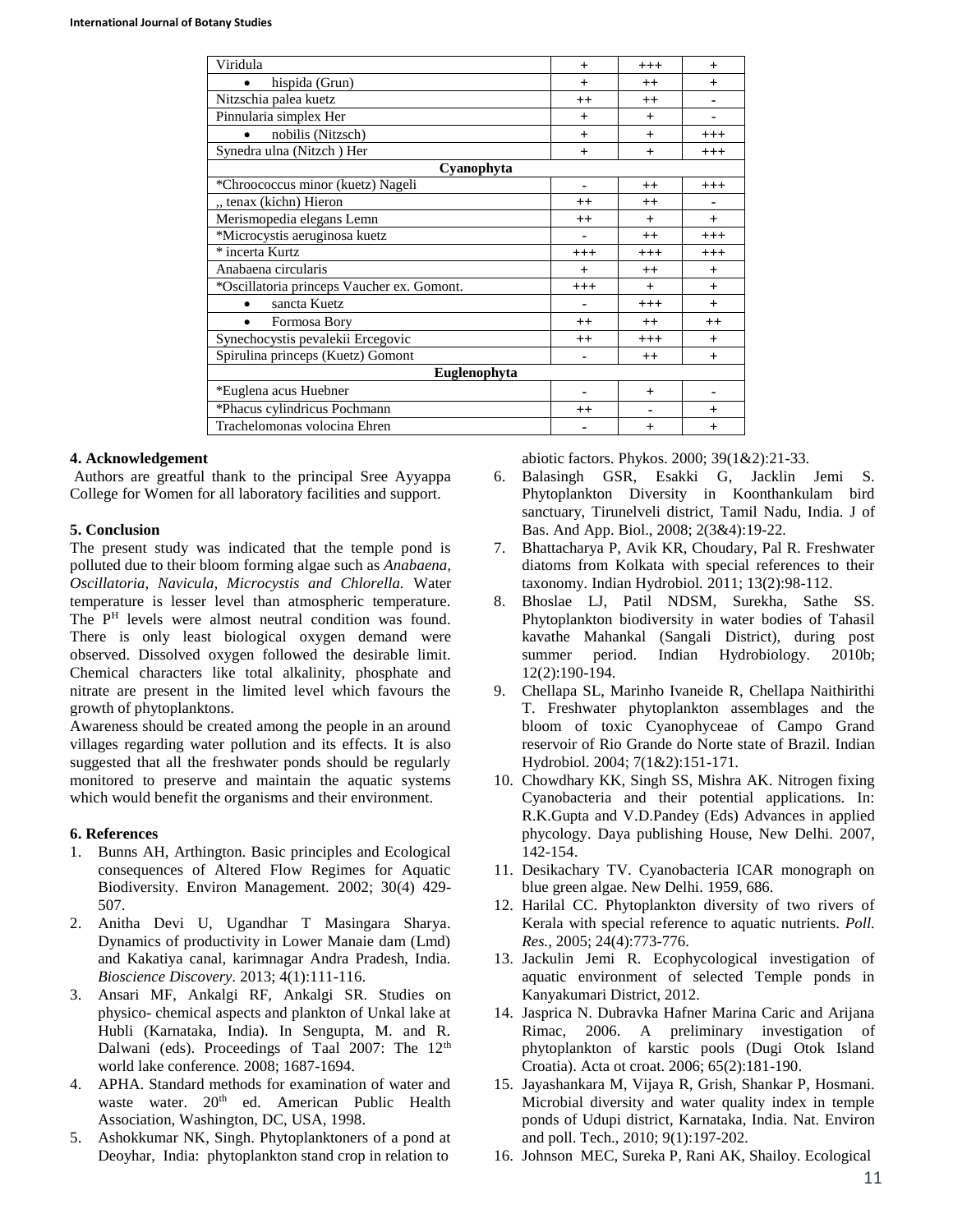| Viridula                                   | $^{+}$    | $+++$     | $^{+}$   |  |  |  |
|--------------------------------------------|-----------|-----------|----------|--|--|--|
| hispida (Grun)<br>$\bullet$                | $+$       | $^{++}$   | $+$      |  |  |  |
| Nitzschia palea kuetz                      | $^{++}$   | $++$      |          |  |  |  |
| Pinnularia simplex Her                     | $^{+}$    | $+$       |          |  |  |  |
| nobilis (Nitzsch)<br>$\bullet$             | $+$       | $+$       | $+++$    |  |  |  |
| Synedra ulna (Nitzch) Her                  | $+$       | $+$       | $+++$    |  |  |  |
| Cyanophyta                                 |           |           |          |  |  |  |
| *Chroococcus minor (kuetz) Nageli          | ۰         | $^{++}$   | $+++$    |  |  |  |
| " tenax (kichn) Hieron                     | $++$      | $^{++}$   |          |  |  |  |
| Merismopedia elegans Lemn                  | $^{++}$   | $\ddot{}$ | $^{+}$   |  |  |  |
| *Microcystis aeruginosa kuetz              |           | $^{++}$   | $+++$    |  |  |  |
| * incerta Kurtz                            | $+++$     | $+++$     | $^{+++}$ |  |  |  |
| Anabaena circularis                        | $\ddot{}$ | $^{++}$   | $+$      |  |  |  |
| *Oscillatoria princeps Vaucher ex. Gomont. | $+++$     | $+$       | $+$      |  |  |  |
| sancta Kuetz<br>$\bullet$                  |           | $+++$     | $^{+}$   |  |  |  |
| Formosa Bory<br>$\bullet$                  | $^{++}$   | $++$      | $^{++}$  |  |  |  |
| Synechocystis pevalekii Ercegovic          | $++$      | $+++$     | $+$      |  |  |  |
| Spirulina princeps (Kuetz) Gomont          |           | $^{++}$   | $^{+}$   |  |  |  |
| <b>Euglenophyta</b>                        |           |           |          |  |  |  |
| *Euglena acus Huebner                      |           | $+$       |          |  |  |  |
| *Phacus cylindricus Pochmann               | $^{++}$   | ۰         | $^{+}$   |  |  |  |
| Trachelomonas volocina Ehren               |           | $\ddot{}$ | $+$      |  |  |  |

#### **4. Acknowledgement**

Authors are greatful thank to the principal Sree Ayyappa College for Women for all laboratory facilities and support.

#### **5. Conclusion**

The present study was indicated that the temple pond is polluted due to their bloom forming algae such as *Anabaena, Oscillatoria, Navicula, Microcystis and Chlorella.* Water temperature is lesser level than atmospheric temperature. The P<sup>H</sup> levels were almost neutral condition was found. There is only least biological oxygen demand were observed. Dissolved oxygen followed the desirable limit. Chemical characters like total alkalinity, phosphate and nitrate are present in the limited level which favours the growth of phytoplanktons.

Awareness should be created among the people in an around villages regarding water pollution and its effects. It is also suggested that all the freshwater ponds should be regularly monitored to preserve and maintain the aquatic systems which would benefit the organisms and their environment.

#### **6. References**

- 1. Bunns AH, Arthington. Basic principles and Ecological consequences of Altered Flow Regimes for Aquatic Biodiversity. Environ Management*.* 2002; 30(4) 429- 507.
- 2. Anitha Devi U, Ugandhar T Masingara Sharya. Dynamics of productivity in Lower Manaie dam (Lmd) and Kakatiya canal, karimnagar Andra Pradesh, India. *Bioscience Discovery.* 2013; 4(1):111-116.
- 3. Ansari MF, Ankalgi RF, Ankalgi SR. Studies on physico- chemical aspects and plankton of Unkal lake at Hubli (Karnataka, India). In Sengupta, M. and R. Dalwani (eds). Proceedings of Taal 2007: The 12<sup>th</sup> world lake conference*.* 2008; 1687-1694.
- 4. APHA. Standard methods for examination of water and waste water. 20<sup>th</sup> ed. American Public Health Association, Washington, DC, USA, 1998.
- 5. Ashokkumar NK, Singh. Phytoplanktoners of a pond at Deoyhar, India: phytoplankton stand crop in relation to

abiotic factors. Phykos. 2000; 39(1&2):21-33.

- 6. Balasingh GSR, Esakki G, Jacklin Jemi S. Phytoplankton Diversity in Koonthankulam bird sanctuary, Tirunelveli district, Tamil Nadu, India. J of Bas. And App. Biol., 2008; 2(3&4):19-22*.*
- 7. Bhattacharya P, Avik KR, Choudary, Pal R. Freshwater diatoms from Kolkata with special references to their taxonomy*.* Indian Hydrobiol*.* 2011; 13(2):98-112.
- 8. Bhoslae LJ, Patil NDSM, Surekha, Sathe SS. Phytoplankton biodiversity in water bodies of Tahasil kavathe Mahankal (Sangali District), during post summer period. Indian Hydrobiology*.* 2010b; 12(2):190-194.
- 9. Chellapa SL, Marinho Ivaneide R, Chellapa Naithirithi T. Freshwater phytoplankton assemblages and the bloom of toxic Cyanophyceae of Campo Grand reservoir of Rio Grande do Norte state of Brazil*.* Indian Hydrobiol*.* 2004; 7(1&2):151-171*.*
- 10. Chowdhary KK, Singh SS, Mishra AK. Nitrogen fixing Cyanobacteria and their potential applications. In: R.K.Gupta and V.D.Pandey (Eds) Advances in applied phycology. Daya publishing House, New Delhi. 2007, 142-154.
- 11. Desikachary TV. Cyanobacteria ICAR monograph on blue green algae. New Delhi. 1959, 686.
- 12. Harilal CC. Phytoplankton diversity of two rivers of Kerala with special reference to aquatic nutrients. *Poll. Res.,* 2005; 24(4):773-776.
- 13. Jackulin Jemi R. Ecophycological investigation of aquatic environment of selected Temple ponds in Kanyakumari District, 2012.
- 14. Jasprica N. Dubravka Hafner Marina Caric and Arijana Rimac, 2006. A preliminary investigation of phytoplankton of karstic pools (Dugi Otok Island Croatia). Acta ot croat. 2006; 65(2):181-190.
- 15. Jayashankara M, Vijaya R, Grish, Shankar P, Hosmani. Microbial diversity and water quality index in temple ponds of Udupi district, Karnataka, India*.* Nat. Environ and poll. Tech., 2010; 9(1):197-202*.*
- 16. Johnson MEC, Sureka P, Rani AK, Shailoy. Ecological